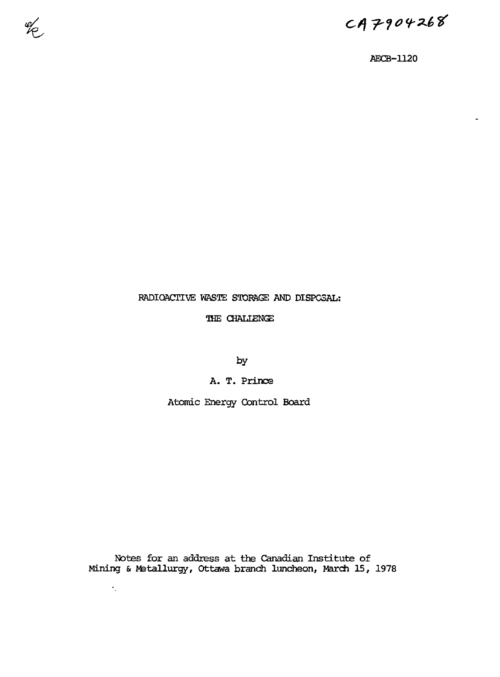$CAP904268$ 

AECB-1120

# RADIOACTIVE WASTE STORAGE AND DISPOSAL:

el<br>C

THE CHALIENGE

by

A. T. Prince

Atomic Energy Control Board

Notes for an address at the Canadian Institute of Mining & Metallurgy, Ottawa branch luncheon, March 15, 1978

 $\gamma_{\rm L}$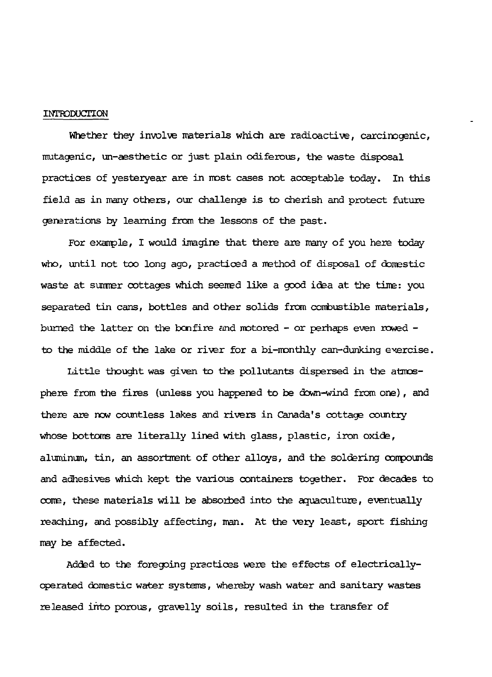#### INTRODUCTION

Whether they involve materials which are radioactive, carcinogenic, mutagenic, un-aesthetic or just plain odiferous, the waste disposal practices of yesteryear are in most cases not acceptable today. In this field as in many others, our challenge is to cherish and protect future generations by learning from the lessons of the past.

For example, I would imagine that there are many of you here today who, until not too long ago, practiced a method of disposal of domestic waste at sunmer cottages which seemed like a good idea at the time: you separated tin cans, bottles and other solids from combustible materials, burned the latter on the bonfire find motored - or perhaps even rowed to the middle of the lake or river for a bi-monthly can-dunking exercise.

Little thought was given to the pollutants dispersed in the atmosphere from the fires (unless you happened to be down-wind from one), and there are now countless lakes and rivers in Canada's cottage country whose bottoms are literally lined with glass, plastic, iron oxide, aluminum, tin, an assortment of other alloys, and the soldering compounds and adhesives which kept the various containers together. For decades to come, these materials will be absorbed into the aquaculture, eventually reaching, and possibly affecting, man. At the very least, sport fishing may be affected.

Added to the foregoing practices were the effects of electricallyoperated domestic water systems, whereby wash water and sanitary wastes released into porous, gravelly soils, resulted in the transfer of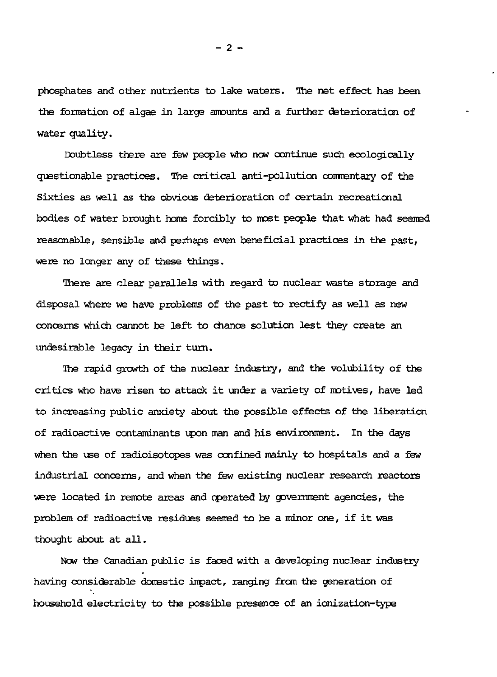phosphates and other nutrients to lake waters. The net effect has been the formation of algae in large amounts and a further deterioration of water quality.

Doubtless there are few people who now continue such ecologically questionable practices. The critical anti-pollution commsntary of the Sixties as well as the obvious deterioration of certain recreational bodies of water brought home forcibly to most people that what had seeired reasonable, sensible and perhaps even beneficial practices in the past, were no longer any of these things.

There are clear parallels with regard to nuclear waste storage and disposal where we have problems of the past to rectify as well as new concerns which cannot be left to chance solution lest they create an undesirable legacy in their turn.

The rapid growth of the nuclear industry, and the volubility of the critics who have risen to attack it under a variety of motives, have led to increasing public anxiety about the possible effects of the liberation of radioactive contaminants upon man and his environment. In the days when the use of radioisotopes was confined mainly to hospitals and a few industrial concerns, and when the few existing nuclear research reactors were located in remote areas and operated by government agencies, the problem of radioactive residues seemed to be a minor one, if it was thought about at all.

Now the Canadian public is faced with a developing nuclear industry having considerable domestic impact, ranging frcm the generation of household electricity to the possible presence of an ionization-type

**- 2 -**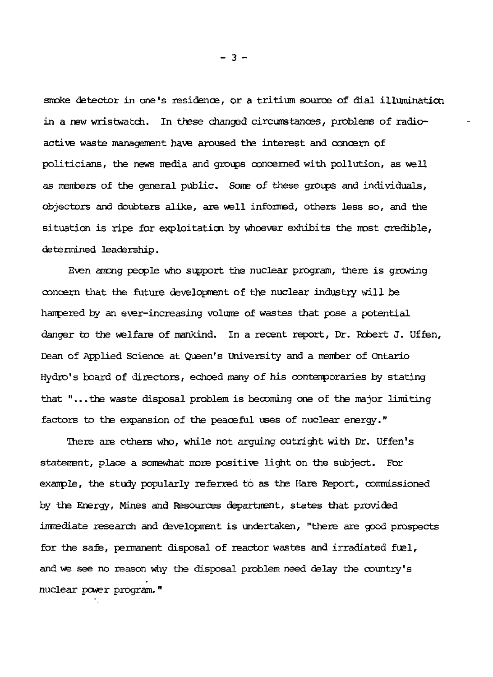smoke detector in one's residence, or a tritium source of dial illumination in a new wristwatch. In these changed cireurs tances, problems of radioactive waste management have aroused the interest and concern of politicians, the news media and groups concerned with pollution, as well as members of the general public. Some of these groups and individuals, objectors and doubters alike, are well informed, others less so, and the situation is ripe for exploitation by whoever exhibits the most credible, determined leadership.

Even among people who support the nuclear program, there is growing concern that the future development of the nuclear industry will be hampered by an ever-increasing volume of wastes that pose a potential danger to the welfare of mankind. In a recent report, Dr. Robert J. Uffen, Dean of Applied Science at Queen's University and a member of Ontario Hydro's board of directors, echoed many of his contemporaries by stating that "... the waste disposal problem is becoming one of the major limiting factors to the expansion of the peaceful uses of nuclear energy."

There are others who, while not arguing outright with Dr. Uffen's statement, place a somewhat more positive light on the subject. For example, the study popularly referred to as the Hare Beport, commissioned by the Energy, Mines and Resources department, states that provided imrediate research and development is undertaken, "there are good prospects for the safe, permanent disposal of reactor wastes and irradiated fuel, and we see no reason why the disposal problem need delay the country's nuclear power program. "

**- 3 -**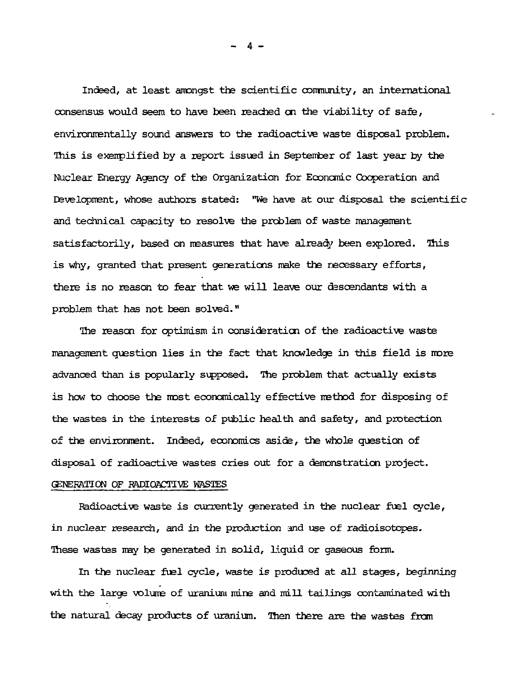Indeed, at least amongst the scientific community, an international consensus would seem to have been reached on the viability of safe, environmentally sound answers to the radioactive waste disposal problem. This is exemplified by a report issued in September of last year by the Nuclear Energy Agency of the Organization for Economic Cooperation and Development, whose authors stated: "We have at our disposal the scientific and technical capacity to resolve the problem of waste management satisfactorily, based on measures that have already been explored. This is why, granted that present generations make the recessary efforts, there is no reason to fear that we will leave our descendants with a problem that has not been solved."

The reason for optimism in consideration of the radioactive waste management question lies in the fact that knowledge in this field is more advanced than is popularly supposed. The problem that actually exists is how to choose the most economically effective method for disposing of the wastes in the interests of public health and safety, and protection of the environment. Indeed, economics aside, the whole question of disposal of radioactive wastes cries out for a demonstration project. GENERATION OF RADIOACTIVE WASTES

Radioactive waste is currently generated in the nuclear fuel cycle, in nuclear research, and in the production and use of radioisotopes. These wastes may be generated in solid, liquid or gaseous form.

In the nuclear fuel cycle, waste is produced at all stages, beginning with the large volume of uranium mine and mill tailing s contaminated with the natural decay products of uranium. Then there are the wastes from

**- 4 -**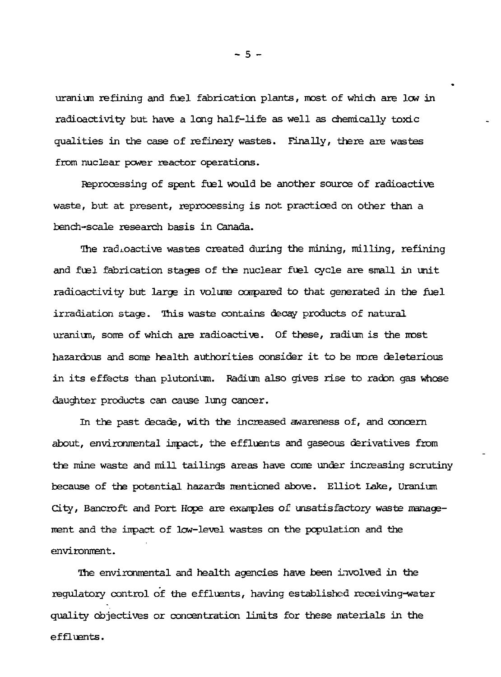uranium refining and fuel fabrication plants, most of which are low in radioactivity but have a long half-life as well as chemically toxic qualities in the case of refinery wastes. Finally, there are wastes from nuclear power reactor operations.

Reprocessing of spent fuel would be another source of radioactive waste, but at present, reprocessing is not practiced on other than a bench-scale research basis in Canada.

The radioactive wastes created during the mining, milling, refining and fuel fabrication stages of the nuclear fuel cycle are small in unit radioactivity but large in volume compared to that generated in the fuel irradiation stage. This waste contains decay products of natural uraniun, some of which are radioactive. Of these, radium is the most hazardous and some health authorities consider it to be more deleterious in its effects than plutonium. Radium also gives rise to radon gas whose daughter products can cause lung cancer.

In the past decade, with the increased awareness of, and concern about, environmental inpact, the effluents and gaseous derivatives from the mine waste and mill tailings areas have come under increasing scrutiny because of the potential hazards mentioned above. Elliot lake, Uranium City, Bancroft and Port Hope are examples of unsatisfactory waste management and the inpact of low-level wastes on the population and the environment.

The environmental and health agencies have been involved in the regulatory control of the effluents, having established receiving-water quality objectives or concentration limits for these materials in the effluents.

**- 5 -**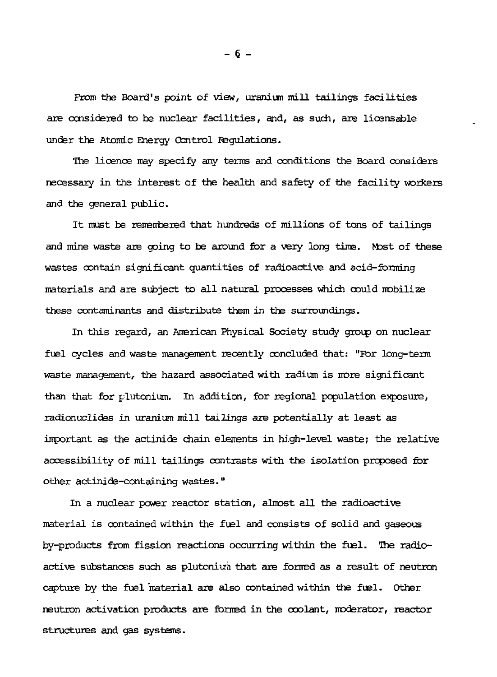From the Board's point of view, uranium mill tailings facilities are considered to be nuclear facilities, and, as such, are licensable under the Atomic Energy Control Regulations.

The licence may specify any terms and conditions the Board considers necessary in the interest of the health and safety of the facility workers and the general public.

It must be remsmbered that hundreds of millions of tons of tailings and mine waste are going to be around for a very long time. Most of these wastes contain significant quantities of radioactive and acid-forming materials and are subject to all natural processes which could mobilize these contaminants and distribute them in the surroundings.

In this regard, an American Physical Society study group on nuclear fuel cycles and waste management recently concluded that: "For long-term waste management, the hazard associated with radium is more significant than that for plutonium. In addition, for regional population exposure, radionuclides in uranium mill tailings are potentially at least as important as the actinide chain elements in high-level waste; the relative accessibility of mill tailings contrasts with the isolation proposed for other actinide-containing wastes. "

In a nuclear power reactor station, almost all the radioactive material is contained within the fuel and consists of solid and gaseous by-products from fission reactions occurring within the fuel. The radioactive substances such as plutonium that are formed as a result of neutron capture by the fuel material are also contained within the fuel. Other neutron activation products are formed in the coolant, moderator, reactor structures and gas systems.

 $-6-$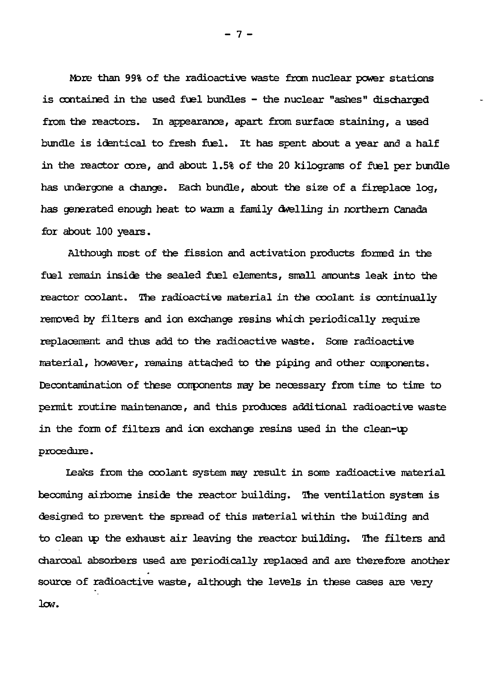More than 99% of the radioactive waste from nuclear power stations is contained in the used fuel bundles - the nuclear "ashes" discharged from the reactors. In appearance, apart from surface staining, a used bundle is identical to fresh fuel. It has spent about a year and a half in the reactor core, and about 1.5% of the 20 kilograms of fuel per bundle has undergone a change. Each bundle, about the size of a fireplace log, has generated enough heat to warm a family dwelling in northern Canada for about 100 years.

Although most of the fission and activation products formed in the fuel remain inside the sealed fuel elements, small amounts leak into the reactor coolant. *The* radioactive material in the coolant is continually removed by filters and ion exchange resins which periodically require replacement and thus add to the radioactive waste. Some radioactive material, however, remains attached to the piping and other components. Decontamination of these components may be necessary from tine to tine to permit routine maintenance, and this produces additional radioactive waste in the form of filters and ion exchange resins used in the clean-up procedure.

Leaks from the coolant system may result in sone radioactive material becoming airborne inside the reactor building. The ventilation system is designed to prevent the spread of this material within the building and to clean up the exhaust air leaving the reactor building. The filters and charcoal absorbers used are periodically replaced and are therefore another source of radioactive waste, although the levels in these cases are very low.

**- 7 -**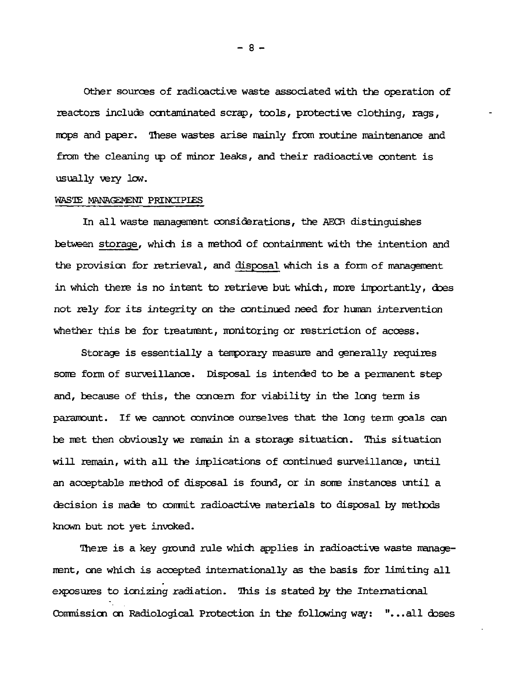Other sources of radioactive waste associated with the operation of reactors include contaminated scrap, tools, protective clothing, rags, mops and paper. These wastes arise mainly from routine maintenance and from the cleaning up of minor leaks, and their radioactive content is usually very low.

# WRSTE MANAŒMEMT PRINCIPIES

In all waste management considerations, the AECB distinguishes between storage, whidi is a method of containment with the intention and the provision for retrieval, and disposal which is a form of management in which there is no intent to retrieve but which, more importantly, does not rely for its integrity on the continued need for human intervention whether this be for treatment, monitoring or restriction of access.

Storage is essentially a temporary measure and generally requires some form of surveillance. Disposal is intended to be a permanent step and, because of this, the concern for viability in the long term is paramount. If we cannot convince ourselves that the long term goals can be met then obviously we remain in a storage situation. This situation will remain, with all the implications of continued surveillance, until an acceptable method of disposal is found, or in some instances until a decision is made to commit radioactive materials to disposal by methods known but not yet invoked.

There is a key ground rule which applies in radioactive waste management, one which is accepted internationally as the basis for limiting all exposures to ionizing radiation. This is stated by the International Commission on Radiological Protection in the following way: "...all doses

- 8 -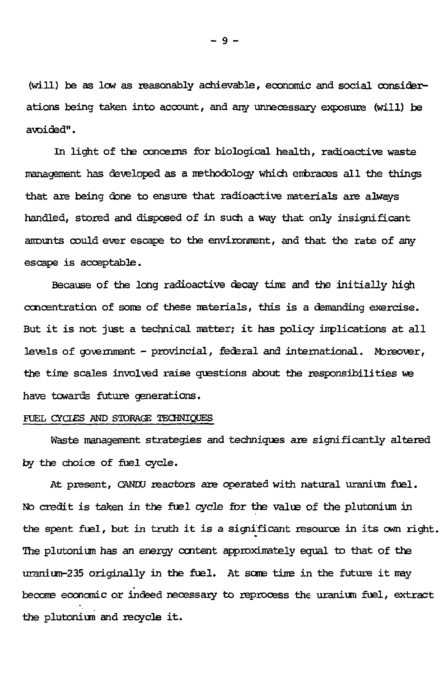(will) be as low as reasonably achievable, economic and social considerations being taken into account, and any unnecessary exposure (will) be avoided".

In light of the concerns for biological health, radioactive waste management has developed as a methodology which eitbraœs all the things that are being done to ensure that radioactive materials are always handled, stored and disposed of in such a way that only insignificant amounts could ever escape to the environment, and that the rate of any escape is acceptable.

Because of the long radioactive decay time and the initially high concentration of soms of these materials, this is a demanding exercise. But it is not just a technical matter; it has policy implications at all levels of government - provincial, federal and international. Moreover, the time scales involved raise questions about the responsibilities *we* have towards future generations.

### RJEL CTOES AND STORACT! *TECHKIQJES*

Waste management strategies and techniques are significantly altered by the choice of fuel cycle.

At present, CANDU reactors are operated with natural uranium fuel. No credit is taken in the fuel cycle for the value of the plutonium in the spent fuel, but in truth it is a significant resource in its own right. The plutonium has an energy content approximately equal to that of the uranium-235 originally in the fuel. At some time in the future it may becone economic or indeed necessary to reprocess the uranium fuel, extract the plutonium and recycle it.

- 9 -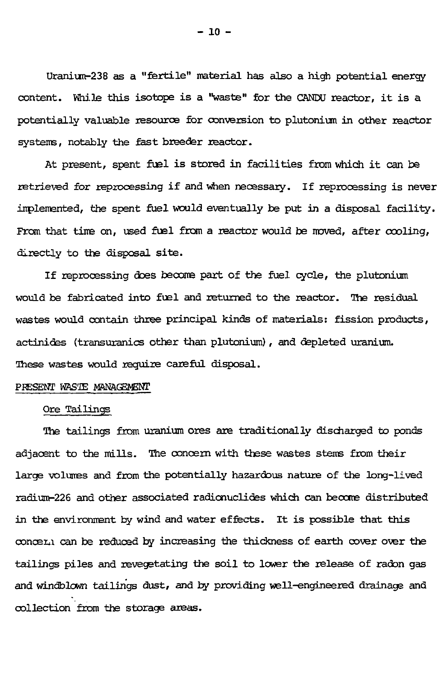Uranium-238 as a "fertile" material has also a high potential energy content. While this isotope is a "waste" for the CANDU reactor, it is a potentially valuable resource for conversion to plutonium in other reactor systems, notably the fast breeder reactor.

At present, spent fuel is stored in facilities from which it can be retrieved for reprocessing if and when necessary. If reprocessing is never iirplemented, the spent fuel would eventually be put in a disposal facility. From that time on, used fuel from a reactor would be noved, after cooling, directly to the disposal site.

If reprocessing does become part of the fuel cycle, the plutonium would be fabricated into fuel and returned to the reactor. The residual wastes would contain three principal kinds of materials: fission products, actinidas (transuranics other than plutonium), and depleted uranium. These wastes would require careful disposal.

## PRESENT WASTE MANAGEMENT

#### Ore Tailings

The tailings from uranium ores are traditionally discharged to ponds adjacent to the mills. The concern with these wastes stems from their large volunes and from the potentially hazardous nature of the long-lived radium-226 and other associated radionuclides which can become distributed in the environment by wind and water effects. It is possible that this concern can be reduced by increasing the thickness of earth cover over the tailings piles and revegetating the soil to lower the release of radon gas and windblown tailings dust, and by providing well-engineered drainage and collection from the storage areas.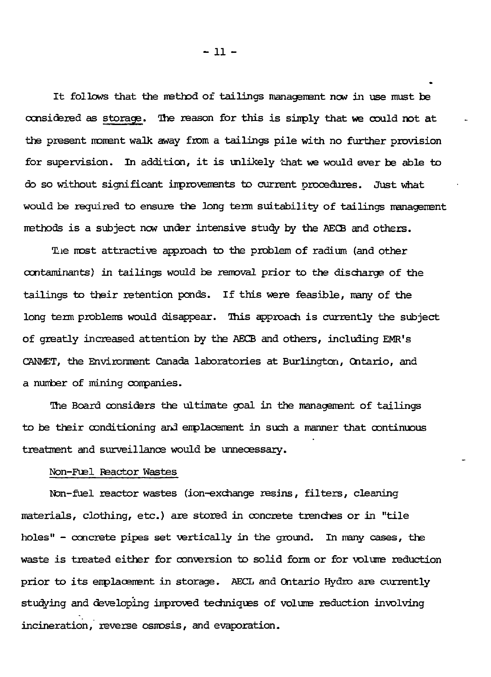l t follows that the method of tailings management now in use must be considered as storage. The reason for this is simply that we could not at the present moment walk away from a tailings pile with no further provision for supervision. In addition, it is unlikely that we would ever be able to do so without significant improvements to current procedures. Just what would be required to ensure the long term suitability of tailings management methods is a subject now under intensive study by the AECB and others.

Tlie most attractive approach to the problem of radium (and other contaminants) in tailings would be removal prior to the discharge of the tailings to their retention ponds. If this were feasible, many of the long term problems would disappear. This approach is currently the subject of greatly increased attention by the AECB and others, including EMR's CANMET, the Environment Canada laboratories at Burlington, Ontario, and a number of mining companies.

The Board considers the ultimate goal in the management of tailings to be their conditioning and emplacement in such a manner that continuous treatment and surveillance would be unnecessary.

#### Non-Fuel Reactor Wastes

Ifon-fuel reactor wastes (ion-exchange resins, filters, cleaning materials, clothing, etc.) are stored in concrete trenches or in "tile holes" - concrete pipes set vertically in the ground. In many cases, the waste is treated either for conversion to solid form or for volume reduction prior to its emplacement in storage. AECL and Ontario Hydro are currently studying and developing improved techniques of volume reduction involving incineration, reverse osmosis, and evaporation.

-li -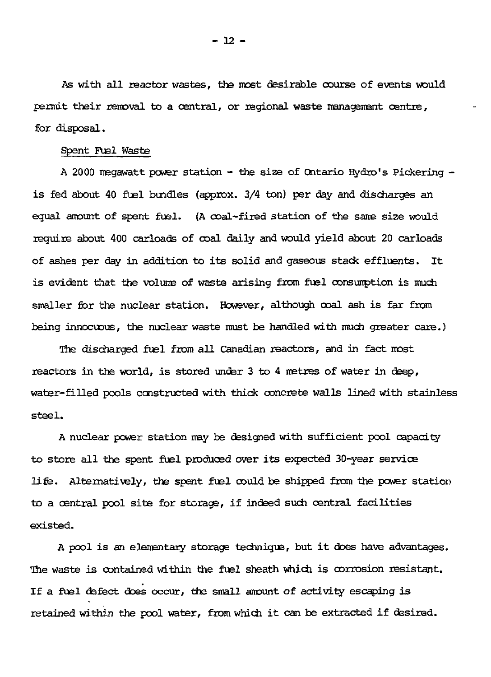As with all reactor wastes, the most desirable course of events would permit their rénovai to a oantral, or regional waste management centre, for disposal.

# Spent Fuel Waste

A 2000 megawatt power station - the size of Ontario Ifydro's Pickering is fed about 40 fuel bundles (approx. 3/4 ton) per day and disoharges an equal amount of spent fuel. (A coal-fired station of the sane size would require about 400 carloads of coal daily and would yield about 20 carloads of ashes per day in addition to its solid and gaseous stack effluents. It is evident that the volume of waste arising from fuel consumption is much smaller for the nuclear station. However, although coal ash is far from being innocuous, the nuclear waste must be handled with much greater care.)

The discharged fuel from all Canadian reactors, and in fact most reactors in the world, is stored under 3 to 4 metres of water in deep, water-filled pools constructed with thick concrete walls lined with stainless steel.

A nuclear power station may be designed with sufficient pool capacity to store all the spent fuel produced over its expected 30-year service life. Alternatively, the spent fuel could be shipped from the power station to a central pool site for storage, if indeed such central facilities existed.

A pool is an elementary storage technique, but it does have advantages. The waste is contained within the fuel sheath which is corrosion resistant. If a fuel defect does occur, the small amount of activity escaping is retained within the pool water, from which it can be extracted if desired.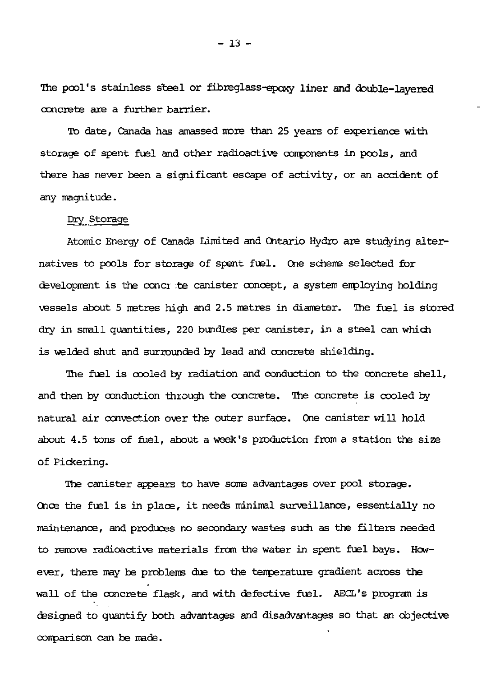The pool's stainless steel or fibreglass-epaxy **liner and double-layered** concrete are a further barrier.

To date, Canada has amassed more than 25 years of experience with storage of spent fuel and other radioactive components in pools, and there has never been a significant escape of activity, or an accident of any magnitude.

## Dry Storage

Atomic Energy of Canada Limited and Ontario Hydro are studying alternatives to pools for storage of spent fuel. One scheme selected for development is the concr :te canister concept, a system employing holding vessels about 5 metres high and 2.5 metres in diameter. The fuel is stored dry in small quantities, 220 bundles per canister, in a steel can which is welded shut and surrounded by lead and concrete shielding.

The fuel is cooled by radiation and conduction to the concrete shell, and then by conduction through the concrete. The concrete is cooled by natural air convection over the outer surface. One canister will hold about 4.5 tons of fuel, about a week's production from a station the size of Pickering.

The canister appears to have some advantages over pool storage. Once the fuel is in place, it needs minimal surveillance, essentially no maintenance, and produces no secondary wastes such as the filters needed to remove radioactive materials from the water in spent fuel bays. Hewever, there may be problems due to the temperature gradient across the wall of the concrete flask, and with defective fuel. AECL's program is designed to quantify both advantages and disadvantages so that an objective comparison can be made.

 $-13 -$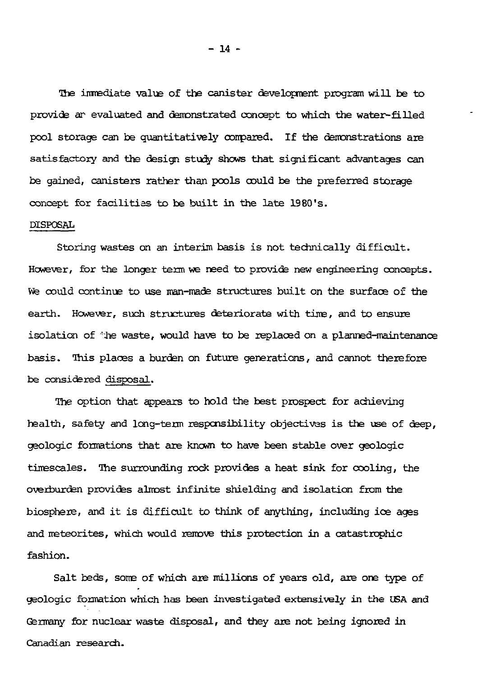3he imrediate valve of the canister development program will be to provide ar evaluated and demonstrated concept to which the water-filled pool storage can be quantitatively conpared. If the demonstrations are satisfactory and the design study shows that significant advantages can be gained, canisters rather than pools could be the preferred storage concept for facilities to be built in the late 1980's. DISPOSAL

Storing wastes on an interim basis is not technically difficult. Howsver, for the longer term we need to provide new engineering concepts. We could continue to use man-made structures built on the surface of the earth. However, such structures deteriorate with time, and to ensure isolation of *'he* waste, would have to be replaced on a planned-maintenance basis. This places a burden on future generations, and cannot therefore be considered disposal.

The option that appears to hold the best prospect for achieving health, safety and long-term responsibility objectives is the use of deep, geologic formations that are known to have been stable over geologic timescales. The surrounding rock provides a heat sink for cooling, the overburden provides almost infinite shielding and isolation from the biosphere, and it is difficult to think of anything, including ice ages and meteorites, which would remove this protection in a catastrophic fashion.

Salt beds, some of which are millions of years old, are one type of geologic formation which has been investigated extensively in the *USA* and Germany for nuclear waste disposal, and they are not being ignored in Canadian research.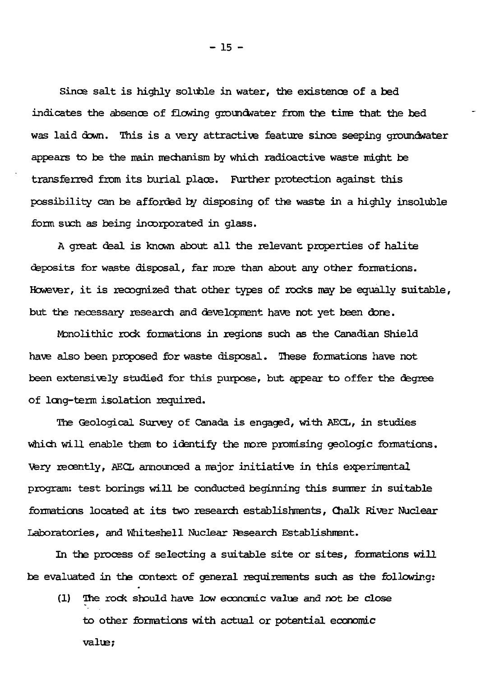Since salt is highly soluble in water, the existence of a bed indicates the absence of flowing groundwater from the tine that the bed was laid down. This is a very attractive feature since seeping groundwater appears to be the main mechanism by which radioactive waste might be transferred from its burial place. Further protection against this possibility can be afforded by disposing of the waste in a highly insoluble form such as being incorporated in glass.

A great deal is known about all the relevant properties of halite deposits for waste disposal, far more than about any other formations. However, it is recognized that other types of rocks may be equally suitable, but the necessary research and development have not yet been done.

Monolithic rock formations in regions such as the Canadian Shield have also been proposed for waste disposal. These formations have not been extensively studied for this purpose, but appear to offer the degree of long-term isolation required.

The Geological Survey of Canada is engaged, with AECL, in studies which will enable them to identify the more promising geologic formations. Very recently, AECL announced a major initiative in this experimental program: test borings will be conducted beginning this summer in suitable formations located at its two research establishments, Chalk River Nuclear Laboratories, and Whiteshell Nuclear Research Establishment.

In the process of selecting a suitable site or sites, formations will be evaluated in the context of general requirements such as the following:

(1) The rock should have low economic value and not be close to other formations with actual or potential economic valua;

 $-15 -$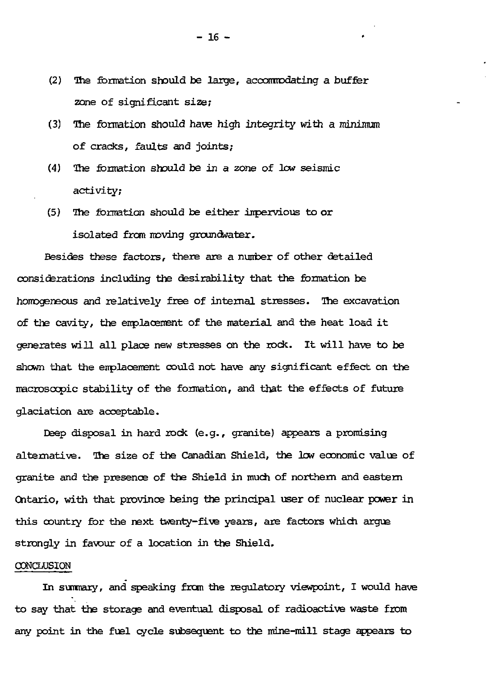- (2) The formation should be large, accommodating a buffer zone of significant size;
- (3) *The* formation should have high integrity with a minimum of cracks, faults and joints;
- (4) The formation should be in a zone of low seismic activity;
- (5) The formation should be either inpervious to or isolated from moving groundwater.

Besides these factors, there are a number of other detailed considerations including the desirability that the formation be homogeneous and relatively free of internal stresses. Hie excavation of the cavity, the emplacement of the material and the heat load it generates will all place new stresses on the rock. It will have to be shewn that the emplacement could not have any significant effect on the macroscopic stability of the formation, and that the effects of future glaciation are acceptable.

Deep disposal in hard rock (e.g., granite) appears a promising alternative. The size of the Canadian Shield, the low economic value of granite and the presence of the Shield in much of northern and eastern Ontario, with that province being the principal user of nuclear power in this country for the next twenty-five years, are factors which argue strongly in favour of a location in the Shield.

#### **CONCLUSION**

In summary, and speaking from the regulatory viewpoint, I would have to say that the storage and eventual disposal of radioactive waste from any point in the fuel cycle subsequent to the mine-mill stage appears to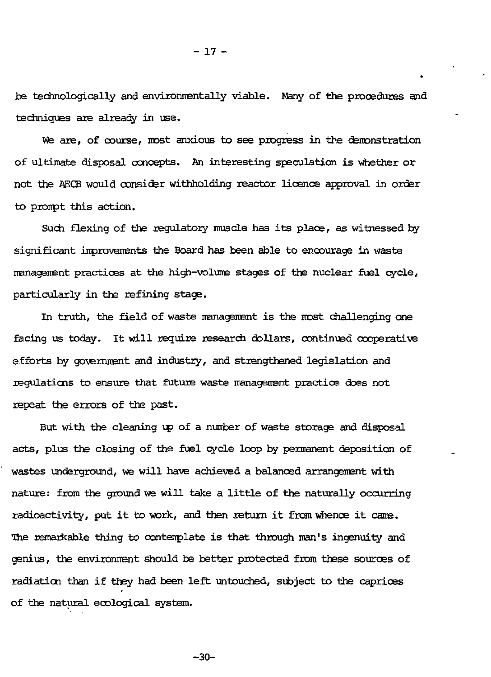be technologically and environmentally viable. Many of the procedures and techniques are already in use.

We are, of course, most anxious to see progress in the demonstration of ultimate disposal concepts. An interesting speculation is whether or not the AECB would consider withholding reactor licence approval in order to pronpt this action.

Such flexing of the regulatory muscle has its place, as witnessed by significant improvements the Board has been able to encourage in waste management practices at the high-volume stages of the nuclear fuel cycle, particularly in the refining stage.

In truth, the field of waste management is the most challenging one facing us today. It will require research dollars, continued cooperative efforts by government and industry, and strengthened legislation and regulations to ensure that future waste management practice does not repeat the errors of the past.

But with the cleaning up of a number of waste storage and disposal acts, plus the closing of the fuel cycle loop by permanent deposition of wastes underground, we will have achieved a balanced arrangement with nature: from the ground we will take a little of the naturally occurring radioactivity, put it to work, and then return it from whence it cams. The remarkable thing to contemplate is that through man's ingenuity and genius, the environment should be better protected from these sources of radiation than if they had been left untouched, subject to the caprices of the natural ecological system.

-30-